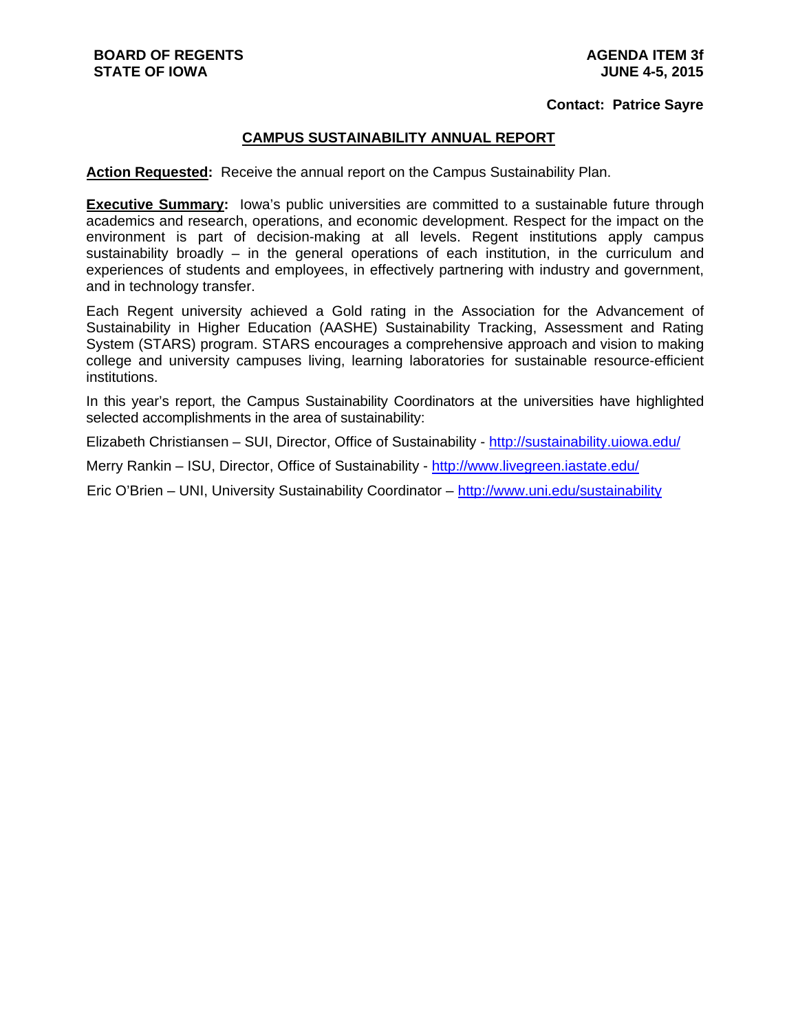#### **Contact: Patrice Sayre**

### **CAMPUS SUSTAINABILITY ANNUAL REPORT**

**Action Requested:** Receive the annual report on the Campus Sustainability Plan.

**Executive Summary:** lowa's public universities are committed to a sustainable future through academics and research, operations, and economic development. Respect for the impact on the environment is part of decision-making at all levels. Regent institutions apply campus sustainability broadly – in the general operations of each institution, in the curriculum and experiences of students and employees, in effectively partnering with industry and government, and in technology transfer.

Each Regent university achieved a Gold rating in the Association for the Advancement of Sustainability in Higher Education (AASHE) Sustainability Tracking, Assessment and Rating System (STARS) program. STARS encourages a comprehensive approach and vision to making college and university campuses living, learning laboratories for sustainable resource-efficient institutions.

In this year's report, the Campus Sustainability Coordinators at the universities have highlighted selected accomplishments in the area of sustainability:

Elizabeth Christiansen – SUI, Director, Office of Sustainability - http://sustainability.uiowa.edu/

Merry Rankin - ISU, Director, Office of Sustainability - http://www.livegreen.iastate.edu/

Eric O'Brien – UNI, University Sustainability Coordinator – http://www.uni.edu/sustainability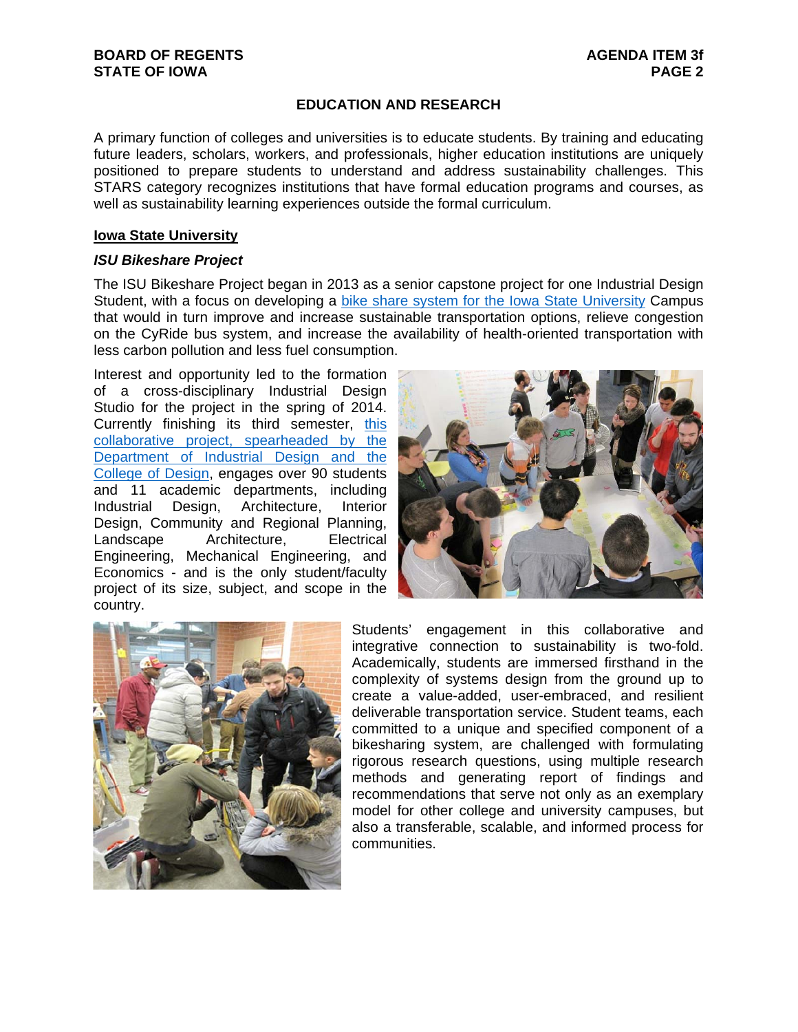# **EDUCATION AND RESEARCH**

A primary function of colleges and universities is to educate students. By training and educating future leaders, scholars, workers, and professionals, higher education institutions are uniquely positioned to prepare students to understand and address sustainability challenges. This STARS category recognizes institutions that have formal education programs and courses, as well as sustainability learning experiences outside the formal curriculum.

### **Iowa State University**

#### *ISU Bikeshare Project*

The ISU Bikeshare Project began in 2013 as a senior capstone project for one Industrial Design Student, with a focus on developing a bike share system for the Iowa State University Campus that would in turn improve and increase sustainable transportation options, relieve congestion on the CyRide bus system, and increase the availability of health-oriented transportation with less carbon pollution and less fuel consumption.

Interest and opportunity led to the formation of a cross-disciplinary Industrial Design Studio for the project in the spring of 2014. Currently finishing its third semester, this collaborative project, spearheaded by the Department of Industrial Design and the College of Design, engages over 90 students and 11 academic departments, including Industrial Design, Architecture, Interior Design, Community and Regional Planning, Landscape Architecture, Electrical Engineering, Mechanical Engineering, and Economics - and is the only student/faculty project of its size, subject, and scope in the country.





Students' engagement in this collaborative and integrative connection to sustainability is two-fold. Academically, students are immersed firsthand in the complexity of systems design from the ground up to create a value-added, user-embraced, and resilient deliverable transportation service. Student teams, each committed to a unique and specified component of a bikesharing system, are challenged with formulating rigorous research questions, using multiple research methods and generating report of findings and recommendations that serve not only as an exemplary model for other college and university campuses, but also a transferable, scalable, and informed process for communities.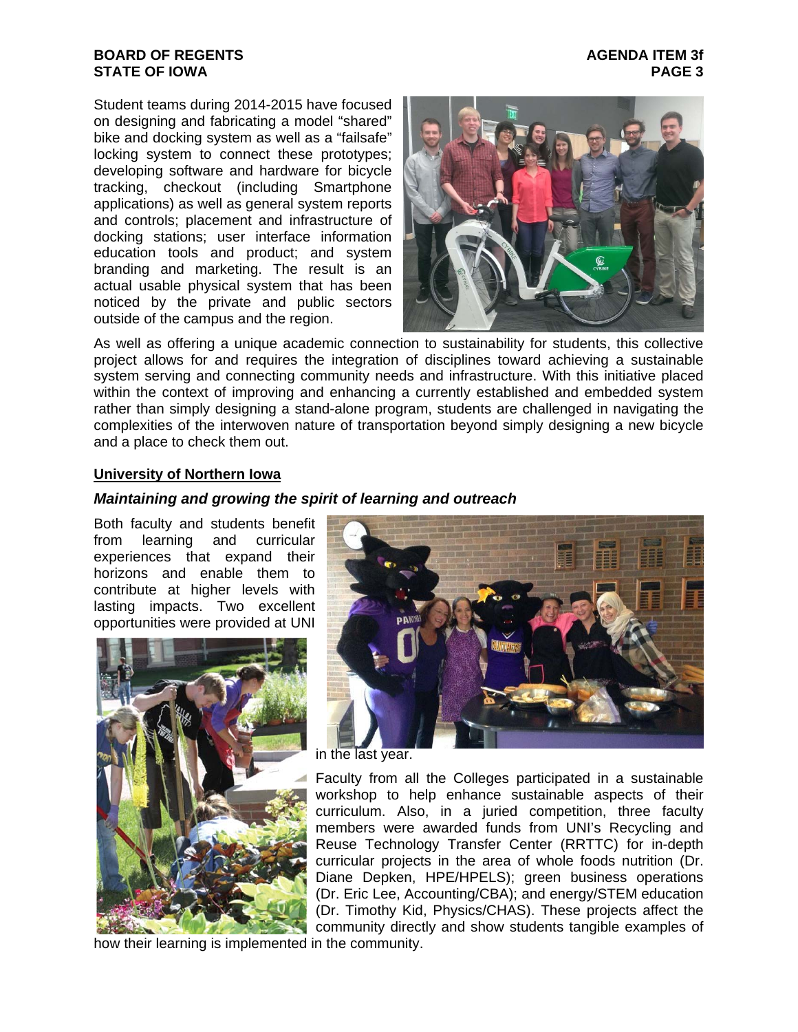Student teams during 2014-2015 have focused on designing and fabricating a model "shared" bike and docking system as well as a "failsafe" locking system to connect these prototypes; developing software and hardware for bicycle tracking, checkout (including Smartphone applications) as well as general system reports and controls; placement and infrastructure of docking stations; user interface information education tools and product; and system branding and marketing. The result is an actual usable physical system that has been noticed by the private and public sectors outside of the campus and the region.



As well as offering a unique academic connection to sustainability for students, this collective project allows for and requires the integration of disciplines toward achieving a sustainable system serving and connecting community needs and infrastructure. With this initiative placed within the context of improving and enhancing a currently established and embedded system rather than simply designing a stand-alone program, students are challenged in navigating the complexities of the interwoven nature of transportation beyond simply designing a new bicycle and a place to check them out.

### **University of Northern Iowa**

### *Maintaining and growing the spirit of learning and outreach*

Both faculty and students benefit from learning and curricular experiences that expand their horizons and enable them to contribute at higher levels with lasting impacts. Two excellent opportunities were provided at UNI



in the last year.

Faculty from all the Colleges participated in a sustainable workshop to help enhance sustainable aspects of their curriculum. Also, in a juried competition, three faculty members were awarded funds from UNI's Recycling and Reuse Technology Transfer Center (RRTTC) for in-depth curricular projects in the area of whole foods nutrition (Dr. Diane Depken, HPE/HPELS); green business operations (Dr. Eric Lee, Accounting/CBA); and energy/STEM education (Dr. Timothy Kid, Physics/CHAS). These projects affect the community directly and show students tangible examples of

how their learning is implemented in the community.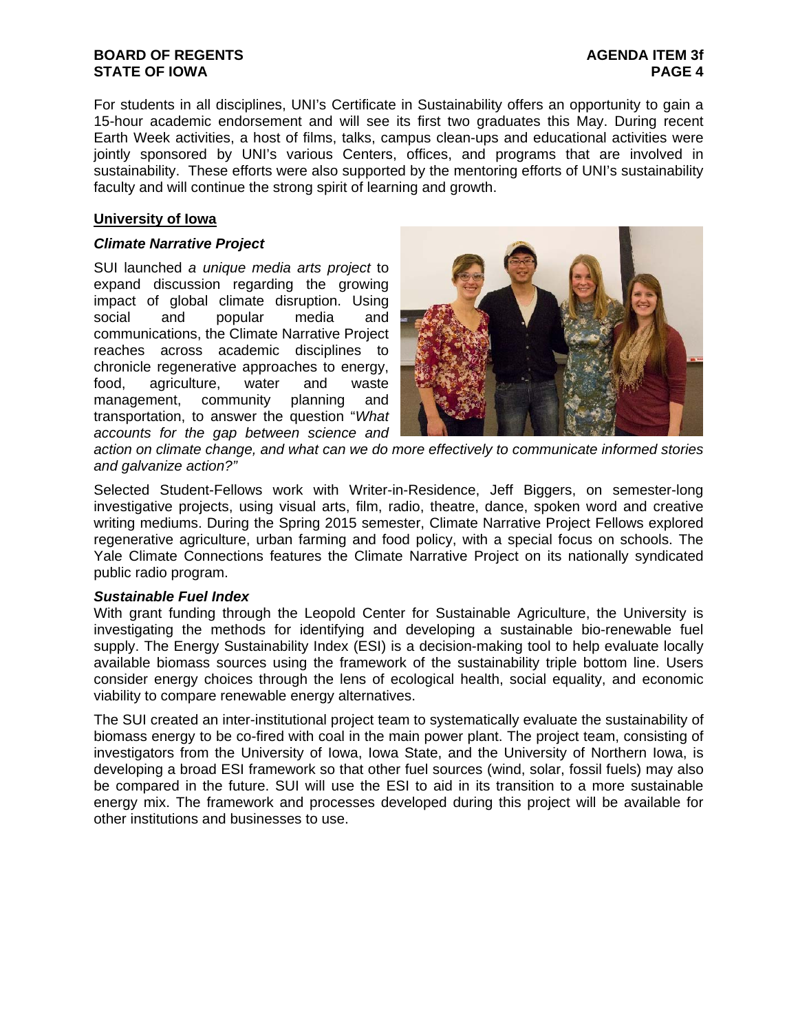For students in all disciplines, UNI's Certificate in Sustainability offers an opportunity to gain a 15-hour academic endorsement and will see its first two graduates this May. During recent Earth Week activities, a host of films, talks, campus clean-ups and educational activities were jointly sponsored by UNI's various Centers, offices, and programs that are involved in sustainability. These efforts were also supported by the mentoring efforts of UNI's sustainability faculty and will continue the strong spirit of learning and growth.

# **University of Iowa**

### *Climate Narrative Project*

SUI launched *a unique media arts project* to expand discussion regarding the growing impact of global climate disruption. Using social and popular media and communications, the Climate Narrative Project reaches across academic disciplines to chronicle regenerative approaches to energy, food, agriculture, water and waste management, community planning and transportation, to answer the question "*What accounts for the gap between science and* 



*action on climate change, and what can we do more effectively to communicate informed stories and galvanize action?"* 

Selected Student-Fellows work with Writer-in-Residence, Jeff Biggers, on semester-long investigative projects, using visual arts, film, radio, theatre, dance, spoken word and creative writing mediums. During the Spring 2015 semester, Climate Narrative Project Fellows explored regenerative agriculture, urban farming and food policy, with a special focus on schools. The Yale Climate Connections features the Climate Narrative Project on its nationally syndicated public radio program.

### *Sustainable Fuel Index*

With grant funding through the Leopold Center for Sustainable Agriculture, the University is investigating the methods for identifying and developing a sustainable bio-renewable fuel supply. The Energy Sustainability Index (ESI) is a decision-making tool to help evaluate locally available biomass sources using the framework of the sustainability triple bottom line. Users consider energy choices through the lens of ecological health, social equality, and economic viability to compare renewable energy alternatives.

The SUI created an inter-institutional project team to systematically evaluate the sustainability of biomass energy to be co-fired with coal in the main power plant. The project team, consisting of investigators from the University of Iowa, Iowa State, and the University of Northern Iowa, is developing a broad ESI framework so that other fuel sources (wind, solar, fossil fuels) may also be compared in the future. SUI will use the ESI to aid in its transition to a more sustainable energy mix. The framework and processes developed during this project will be available for other institutions and businesses to use.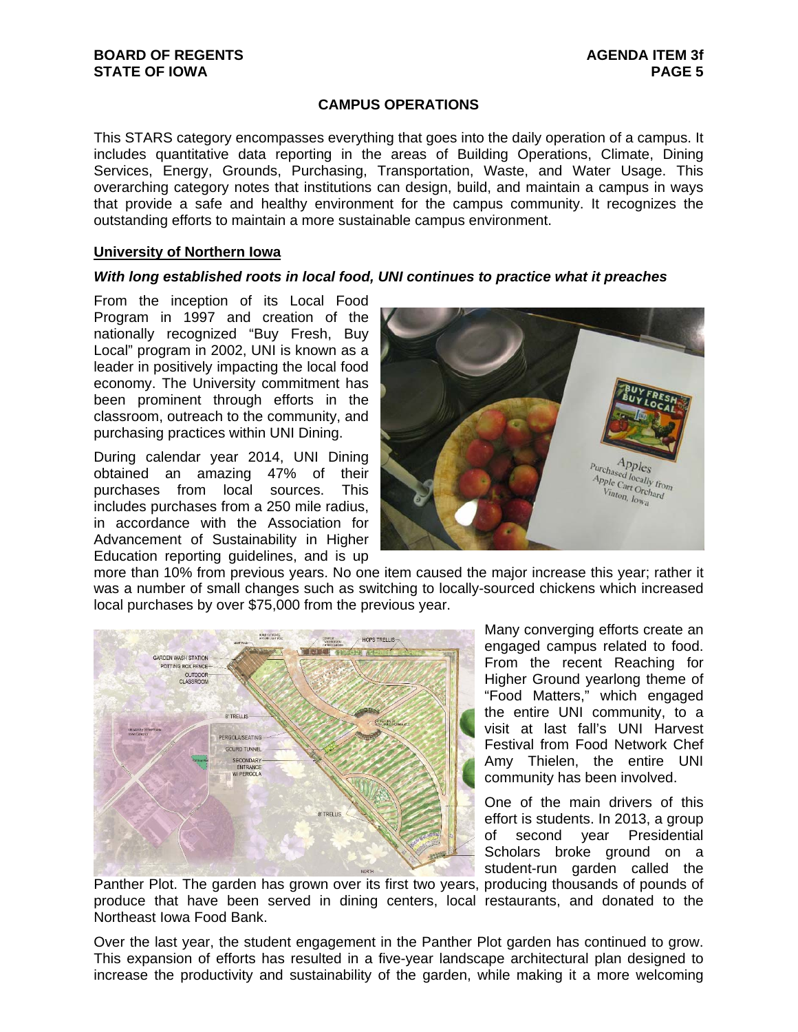## **CAMPUS OPERATIONS**

This STARS category encompasses everything that goes into the daily operation of a campus. It includes quantitative data reporting in the areas of Building Operations, Climate, Dining Services, Energy, Grounds, Purchasing, Transportation, Waste, and Water Usage. This overarching category notes that institutions can design, build, and maintain a campus in ways that provide a safe and healthy environment for the campus community. It recognizes the outstanding efforts to maintain a more sustainable campus environment.

#### **University of Northern Iowa**

#### *With long established roots in local food, UNI continues to practice what it preaches*

From the inception of its Local Food Program in 1997 and creation of the nationally recognized "Buy Fresh, Buy Local" program in 2002, UNI is known as a leader in positively impacting the local food economy. The University commitment has been prominent through efforts in the classroom, outreach to the community, and purchasing practices within UNI Dining.

During calendar year 2014, UNI Dining obtained an amazing 47% of their purchases from local sources. This includes purchases from a 250 mile radius, in accordance with the Association for Advancement of Sustainability in Higher Education reporting guidelines, and is up



more than 10% from previous years. No one item caused the major increase this year; rather it was a number of small changes such as switching to locally-sourced chickens which increased local purchases by over \$75,000 from the previous year.



Many converging efforts create an engaged campus related to food. From the recent Reaching for Higher Ground yearlong theme of "Food Matters," which engaged the entire UNI community, to a visit at last fall's UNI Harvest Festival from Food Network Chef Amy Thielen, the entire UNI community has been involved.

One of the main drivers of this effort is students. In 2013, a group of second year Presidential Scholars broke ground on a student-run garden called the

Panther Plot. The garden has grown over its first two years, producing thousands of pounds of produce that have been served in dining centers, local restaurants, and donated to the Northeast Iowa Food Bank.

Over the last year, the student engagement in the Panther Plot garden has continued to grow. This expansion of efforts has resulted in a five-year landscape architectural plan designed to increase the productivity and sustainability of the garden, while making it a more welcoming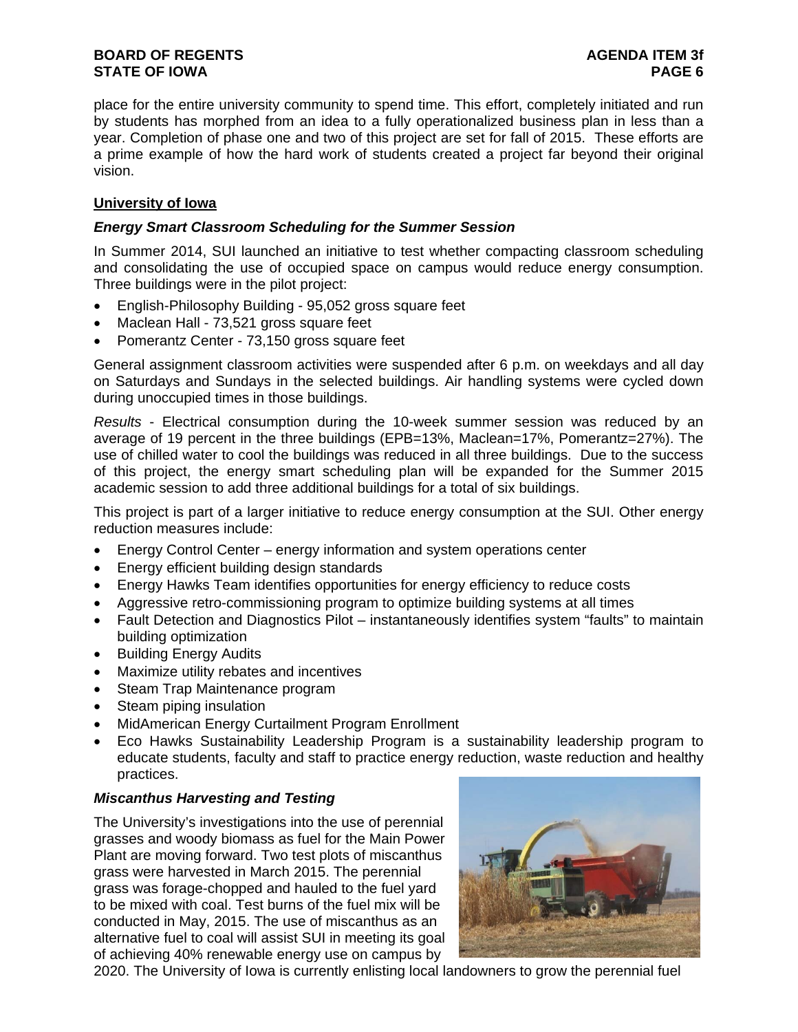place for the entire university community to spend time. This effort, completely initiated and run by students has morphed from an idea to a fully operationalized business plan in less than a year. Completion of phase one and two of this project are set for fall of 2015. These efforts are a prime example of how the hard work of students created a project far beyond their original vision.

# **University of Iowa**

# *Energy Smart Classroom Scheduling for the Summer Session*

In Summer 2014, SUI launched an initiative to test whether compacting classroom scheduling and consolidating the use of occupied space on campus would reduce energy consumption. Three buildings were in the pilot project:

- English-Philosophy Building 95,052 gross square feet
- Maclean Hall 73,521 gross square feet
- Pomerantz Center 73,150 gross square feet

General assignment classroom activities were suspended after 6 p.m. on weekdays and all day on Saturdays and Sundays in the selected buildings. Air handling systems were cycled down during unoccupied times in those buildings.

*Results* - Electrical consumption during the 10-week summer session was reduced by an average of 19 percent in the three buildings (EPB=13%, Maclean=17%, Pomerantz=27%). The use of chilled water to cool the buildings was reduced in all three buildings. Due to the success of this project, the energy smart scheduling plan will be expanded for the Summer 2015 academic session to add three additional buildings for a total of six buildings.

This project is part of a larger initiative to reduce energy consumption at the SUI. Other energy reduction measures include:

- Energy Control Center energy information and system operations center
- Energy efficient building design standards
- Energy Hawks Team identifies opportunities for energy efficiency to reduce costs
- Aggressive retro-commissioning program to optimize building systems at all times
- Fault Detection and Diagnostics Pilot instantaneously identifies system "faults" to maintain building optimization
- Building Energy Audits
- Maximize utility rebates and incentives
- Steam Trap Maintenance program
- Steam piping insulation
- MidAmerican Energy Curtailment Program Enrollment
- Eco Hawks Sustainability Leadership Program is a sustainability leadership program to educate students, faculty and staff to practice energy reduction, waste reduction and healthy practices.

# *Miscanthus Harvesting and Testing*

The University's investigations into the use of perennial grasses and woody biomass as fuel for the Main Power Plant are moving forward. Two test plots of miscanthus grass were harvested in March 2015. The perennial grass was forage-chopped and hauled to the fuel yard to be mixed with coal. Test burns of the fuel mix will be conducted in May, 2015. The use of miscanthus as an alternative fuel to coal will assist SUI in meeting its goal of achieving 40% renewable energy use on campus by



2020. The University of Iowa is currently enlisting local landowners to grow the perennial fuel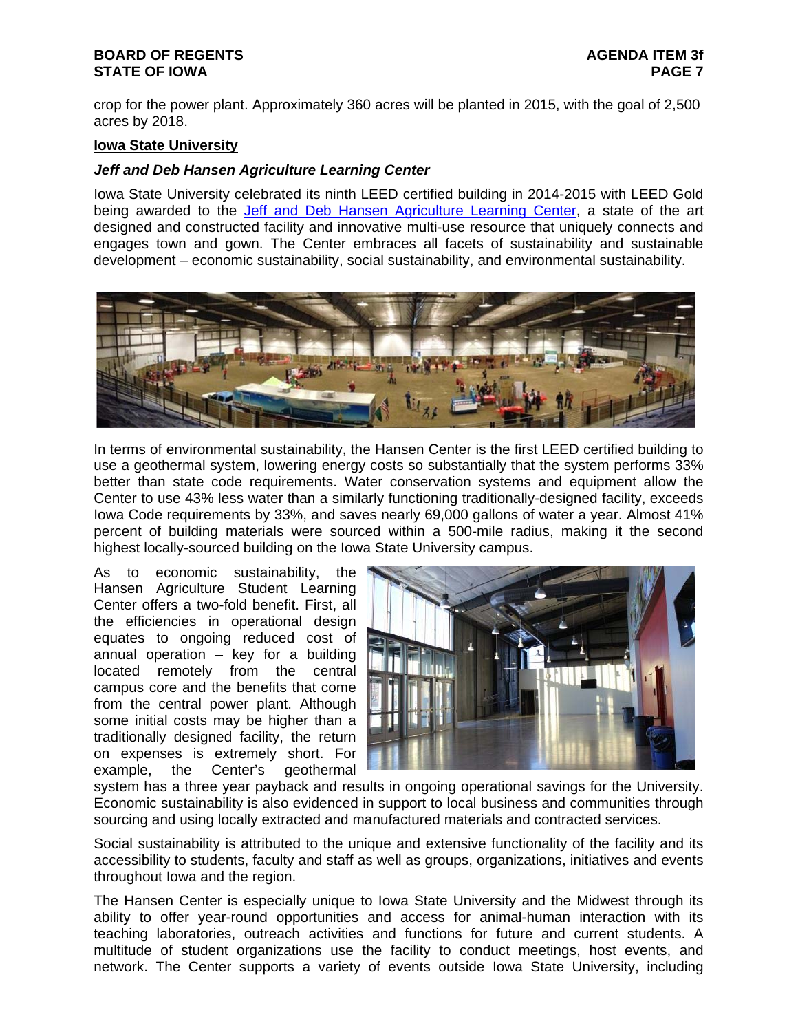crop for the power plant. Approximately 360 acres will be planted in 2015, with the goal of 2,500 acres by 2018.

### **Iowa State University**

### *Jeff and Deb Hansen Agriculture Learning Center*

Iowa State University celebrated its ninth LEED certified building in 2014-2015 with LEED Gold being awarded to the Jeff and Deb Hansen Agriculture Learning Center, a state of the art designed and constructed facility and innovative multi-use resource that uniquely connects and engages town and gown. The Center embraces all facets of sustainability and sustainable development – economic sustainability, social sustainability, and environmental sustainability.



In terms of environmental sustainability, the Hansen Center is the first LEED certified building to use a geothermal system, lowering energy costs so substantially that the system performs 33% better than state code requirements. Water conservation systems and equipment allow the Center to use 43% less water than a similarly functioning traditionally-designed facility, exceeds Iowa Code requirements by 33%, and saves nearly 69,000 gallons of water a year. Almost 41% percent of building materials were sourced within a 500-mile radius, making it the second highest locally-sourced building on the Iowa State University campus.

As to economic sustainability, the Hansen Agriculture Student Learning Center offers a two-fold benefit. First, all the efficiencies in operational design equates to ongoing reduced cost of annual operation – key for a building located remotely from the central campus core and the benefits that come from the central power plant. Although some initial costs may be higher than a traditionally designed facility, the return on expenses is extremely short. For example, the Center's geothermal



system has a three year payback and results in ongoing operational savings for the University. Economic sustainability is also evidenced in support to local business and communities through sourcing and using locally extracted and manufactured materials and contracted services.

Social sustainability is attributed to the unique and extensive functionality of the facility and its accessibility to students, faculty and staff as well as groups, organizations, initiatives and events throughout Iowa and the region.

The Hansen Center is especially unique to Iowa State University and the Midwest through its ability to offer year-round opportunities and access for animal-human interaction with its teaching laboratories, outreach activities and functions for future and current students. A multitude of student organizations use the facility to conduct meetings, host events, and network. The Center supports a variety of events outside Iowa State University, including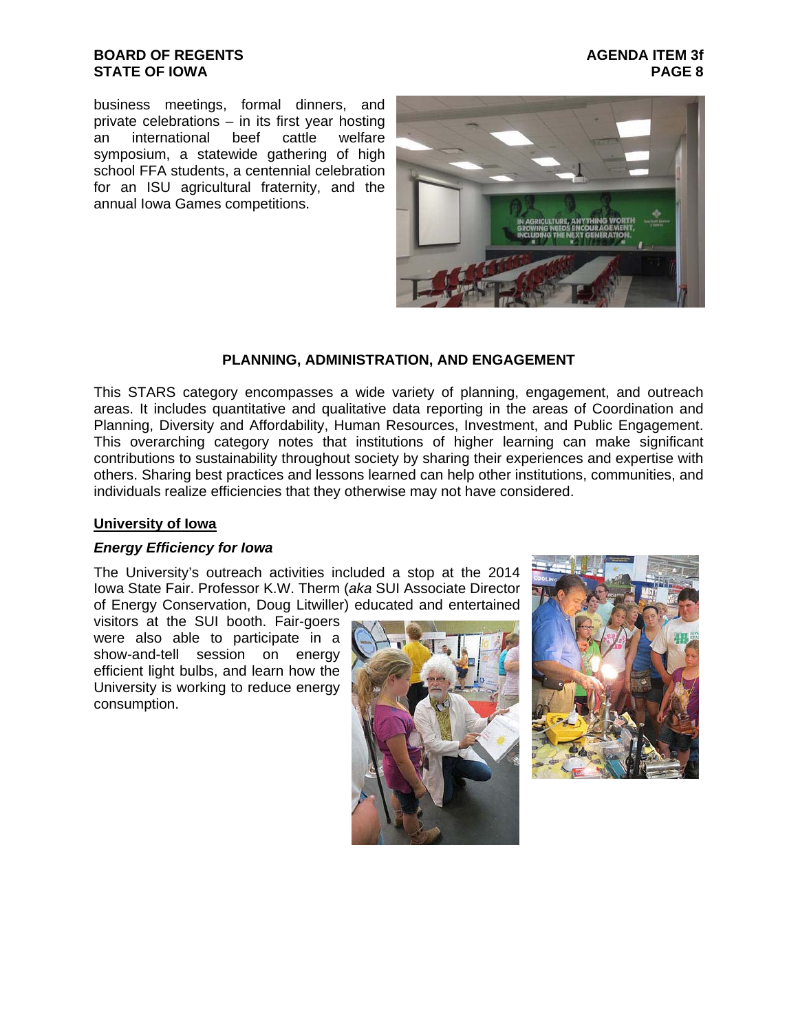## **BOARD OF REGENTS AGENDA ITEM 3f STATE OF IOWA**

business meetings, formal dinners, and private celebrations – in its first year hosting<br>an international beef cattle welfare an international beef cattle welfare symposium, a statewide gathering of high school FFA students, a centennial celebration for an ISU agricultural fraternity, and the annual Iowa Games competitions.



# **PLANNING, ADMINISTRATION, AND ENGAGEMENT**

This STARS category encompasses a wide variety of planning, engagement, and outreach areas. It includes quantitative and qualitative data reporting in the areas of Coordination and Planning, Diversity and Affordability, Human Resources, Investment, and Public Engagement. This overarching category notes that institutions of higher learning can make significant contributions to sustainability throughout society by sharing their experiences and expertise with others. Sharing best practices and lessons learned can help other institutions, communities, and individuals realize efficiencies that they otherwise may not have considered.

### **University of Iowa**

### *Energy Efficiency for Iowa*

The University's outreach activities included a stop at the 2014 Iowa State Fair. Professor K.W. Therm (*aka* SUI Associate Director of Energy Conservation, Doug Litwiller) educated and entertained

visitors at the SUI booth. Fair-goers were also able to participate in a show-and-tell session on energy efficient light bulbs, and learn how the University is working to reduce energy consumption.



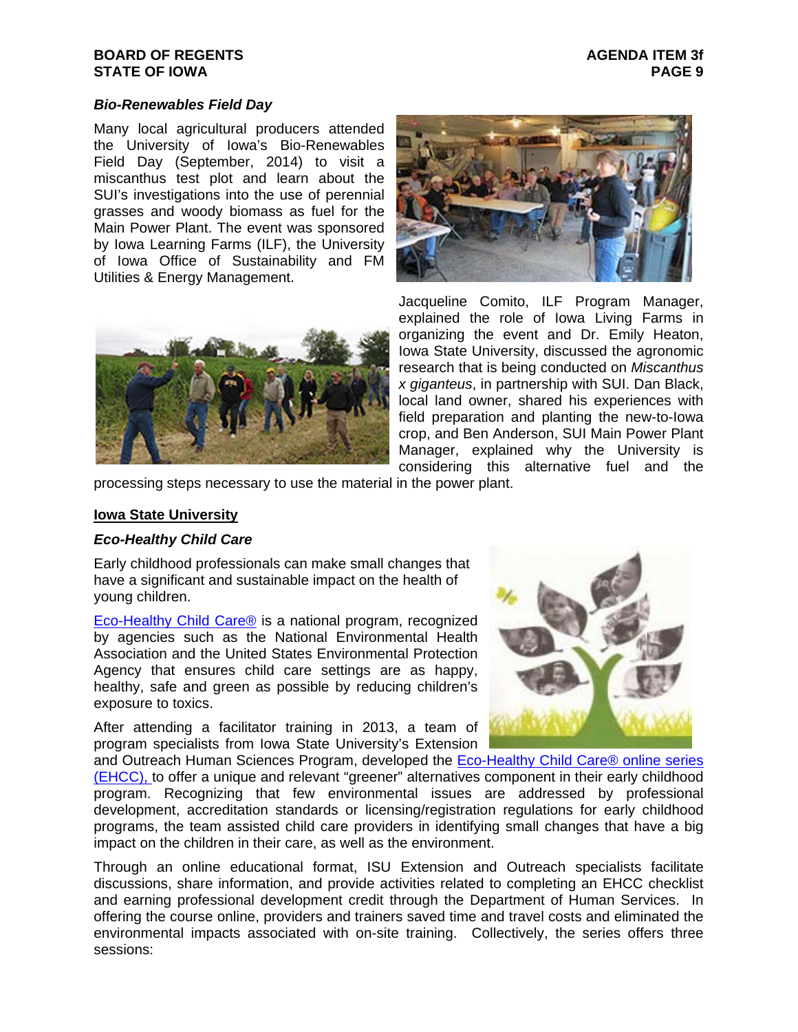### *Bio-Renewables Field Day*

Many local agricultural producers attended the University of Iowa's Bio-Renewables Field Day (September, 2014) to visit a miscanthus test plot and learn about the SUI's investigations into the use of perennial grasses and woody biomass as fuel for the Main Power Plant. The event was sponsored by Iowa Learning Farms (ILF), the University of Iowa Office of Sustainability and FM Utilities & Energy Management.





Jacqueline Comito, ILF Program Manager, explained the role of Iowa Living Farms in organizing the event and Dr. Emily Heaton, Iowa State University, discussed the agronomic research that is being conducted on *Miscanthus x giganteus*, in partnership with SUI. Dan Black, local land owner, shared his experiences with field preparation and planting the new-to-Iowa crop, and Ben Anderson, SUI Main Power Plant Manager, explained why the University is considering this alternative fuel and the

processing steps necessary to use the material in the power plant.

### **Iowa State University**

### *Eco-Healthy Child Care*

Early childhood professionals can make small changes that have a significant and sustainable impact on the health of young children.

Eco-Healthy Child Care® is a national program, recognized by agencies such as the National Environmental Health Association and the United States Environmental Protection Agency that ensures child care settings are as happy, healthy, safe and green as possible by reducing children's exposure to toxics.

After attending a facilitator training in 2013, a team of program specialists from Iowa State University's Extension



and Outreach Human Sciences Program, developed the Eco-Healthy Child Care® online series (EHCC), to offer a unique and relevant "greener" alternatives component in their early childhood program. Recognizing that few environmental issues are addressed by professional development, accreditation standards or licensing/registration regulations for early childhood programs, the team assisted child care providers in identifying small changes that have a big impact on the children in their care, as well as the environment.

Through an online educational format, ISU Extension and Outreach specialists facilitate discussions, share information, and provide activities related to completing an EHCC checklist and earning professional development credit through the Department of Human Services. In offering the course online, providers and trainers saved time and travel costs and eliminated the environmental impacts associated with on-site training. Collectively, the series offers three sessions: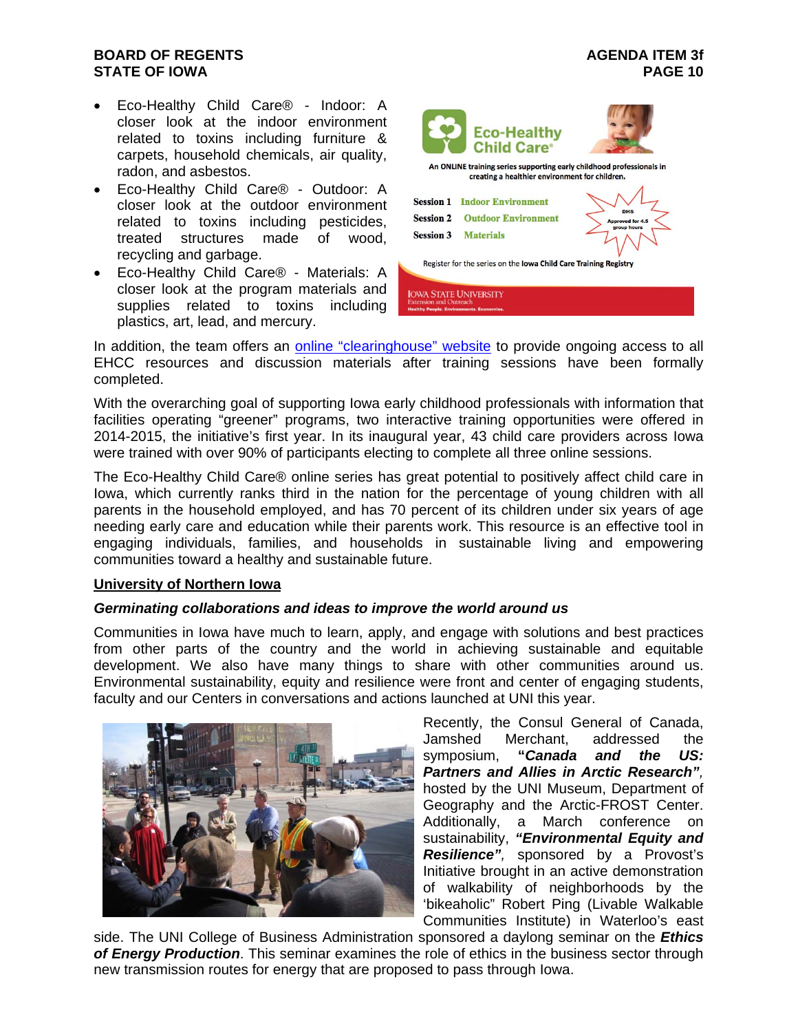- Eco-Healthy Child Care® Indoor: A closer look at the indoor environment related to toxins including furniture & carpets, household chemicals, air quality, radon, and asbestos.
- Eco-Healthy Child Care® Outdoor: A closer look at the outdoor environment related to toxins including pesticides, treated structures made of wood, recycling and garbage.
- Eco-Healthy Child Care® Materials: A closer look at the program materials and supplies related to toxins including plastics, art, lead, and mercury.



In addition, the team offers an online "clearinghouse" website to provide ongoing access to all EHCC resources and discussion materials after training sessions have been formally completed.

With the overarching goal of supporting Iowa early childhood professionals with information that facilities operating "greener" programs, two interactive training opportunities were offered in 2014-2015, the initiative's first year. In its inaugural year, 43 child care providers across Iowa were trained with over 90% of participants electing to complete all three online sessions.

The Eco-Healthy Child Care® online series has great potential to positively affect child care in Iowa, which currently ranks third in the nation for the percentage of young children with all parents in the household employed, and has 70 percent of its children under six years of age needing early care and education while their parents work. This resource is an effective tool in engaging individuals, families, and households in sustainable living and empowering communities toward a healthy and sustainable future.

### **University of Northern Iowa**

### *Germinating collaborations and ideas to improve the world around us*

Communities in Iowa have much to learn, apply, and engage with solutions and best practices from other parts of the country and the world in achieving sustainable and equitable development. We also have many things to share with other communities around us. Environmental sustainability, equity and resilience were front and center of engaging students, faculty and our Centers in conversations and actions launched at UNI this year.



Recently, the Consul General of Canada, Jamshed Merchant, addressed the symposium, **"***Canada and the US: Partners and Allies in Arctic Research",* hosted by the UNI Museum, Department of Geography and the Arctic-FROST Center. Additionally, a March conference on sustainability, *"Environmental Equity and Resilience",* sponsored by a Provost's Initiative brought in an active demonstration of walkability of neighborhoods by the 'bikeaholic" Robert Ping (Livable Walkable Communities Institute) in Waterloo's east

side. The UNI College of Business Administration sponsored a daylong seminar on the *Ethics of Energy Production*. This seminar examines the role of ethics in the business sector through new transmission routes for energy that are proposed to pass through Iowa.